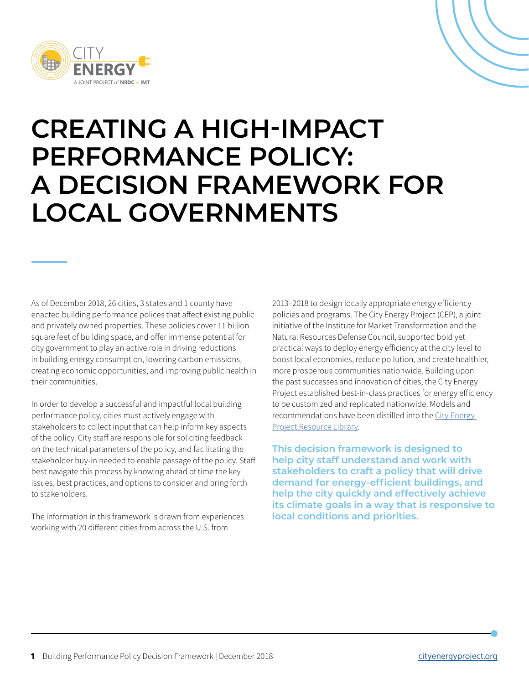

# **CREATING A HIGH-IMPACT PERFORMANCE POLICY: A DECISION FRAMEWORK FOR LOCAL GOVERNMENTS**

As of December 2018, 26 cities, 3 states and 1 county have enacted building performance polices that affect existing public and privately owned properties. These policies cover 11 billion square feet of building space, and offer immense potential for city government to play an active role in driving reductions in building energy consumption, lowering carbon emissions, creating economic opportunities, and improving public health in their communities.

In order to develop a successful and impactful local building performance policy, cities must actively engage with stakeholders to collect input that can help inform key aspects of the policy. City staff are responsible for soliciting feedback on the technical parameters of the policy, and facilitating the stakeholder buy-in needed to enable passage of the policy. Staff best navigate this process by knowing ahead of time the key issues, best practices, and options to consider and bring forth to stakeholders.

The information in this framework is drawn from experiences working with 20 different cities from across the U.S. from

2013–2018 to design locally appropriate energy efficiency policies and programs. The City Energy Project (CEP), a joint initiative of the Institute for Market Transformation and the Natural Resources Defense Council, supported bold yet practical ways to deploy energy efficiency at the city level to boost local economies, reduce pollution, and create healthier, more prosperous communities nationwide. Building upon the past successes and innovation of cities, the City Energy Project established best-in-class practices for energy efficiency to be customized and replicated nationwide. Models and recommendations have been distilled into the [City Energy](http://www.cityenergyproject.org)  [Project Resource Library.](http://www.cityenergyproject.org) 

**This decision framework is designed to help city staff understand and work with stakeholders to craft a policy that will drive demand for energy-efficient buildings, and help the city quickly and effectively achieve its climate goals in a way that is responsive to local conditions and priorities.**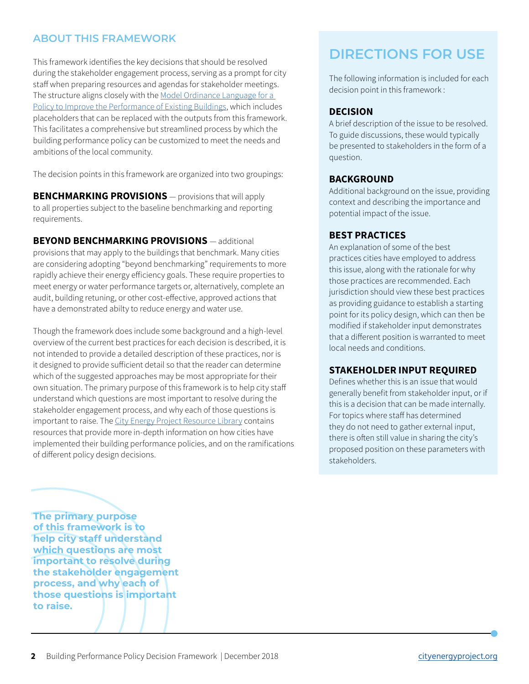#### **ABOUT THIS FRAMEWORK**

This framework identifies the key decisions that should be resolved during the stakeholder engagement process, serving as a prompt for city staff when preparing resources and agendas for stakeholder meetings. The structure aligns closely with the Model Ordinance Language for a [Policy to Improve the Performance of Existing Buildings](http://www.cityenergyproject.org/resources/building-performance-policy-model-ordinance), which includes placeholders that can be replaced with the outputs from this framework. This facilitates a comprehensive but streamlined process by which the building performance policy can be customized to meet the needs and ambitions of the local community.

The decision points in this framework are organized into two groupings:

**BENCHMARKING PROVISIONS** — provisions that will apply to all properties subject to the baseline benchmarking and reporting requirements.

#### **BEYOND BENCHMARKING PROVISIONS** — additional

provisions that may apply to the buildings that benchmark. Many cities are considering adopting "beyond benchmarking" requirements to more rapidly achieve their energy efficiency goals. These require properties to meet energy or water performance targets or, alternatively, complete an audit, building retuning, or other cost-effective, approved actions that have a demonstrated abilty to reduce energy and water use.

Though the framework does include some background and a high-level overview of the current best practices for each decision is described, it is not intended to provide a detailed description of these practices, nor is it designed to provide sufficient detail so that the reader can determine which of the suggested approaches may be most appropriate for their own situation. The primary purpose of this framework is to help city staff understand which questions are most important to resolve during the stakeholder engagement process, and why each of those questions is important to raise. The [City Energy Project Resource Library](http://www.cityenergyproject.org) contains resources that provide more in-depth information on how cities have implemented their building performance policies, and on the ramifications of different policy design decisions.

# **DIRECTIONS FOR USE**

The following information is included for each decision point in this framework :

#### **DECISION**

A brief description of the issue to be resolved. To guide discussions, these would typically be presented to stakeholders in the form of a question.

#### **BACKGROUND**

Additional background on the issue, providing context and describing the importance and potential impact of the issue.

#### **BEST PRACTICES**

An explanation of some of the best practices cities have employed to address this issue, along with the rationale for why those practices are recommended. Each jurisdiction should view these best practices as providing guidance to establish a starting point for its policy design, which can then be modified if stakeholder input demonstrates that a different position is warranted to meet local needs and conditions.

#### **STAKEHOLDER INPUT REQUIRED**

Defines whether this is an issue that would generally benefit from stakeholder input, or if this is a decision that can be made internally. For topics where staff has determined they do not need to gather external input, there is often still value in sharing the city's proposed position on these parameters with stakeholders.

**The primary purpose of this framework is to help city staff understand which questions are most important to resolve during the stakeholder engagement process, and why each of those questions is important to raise.**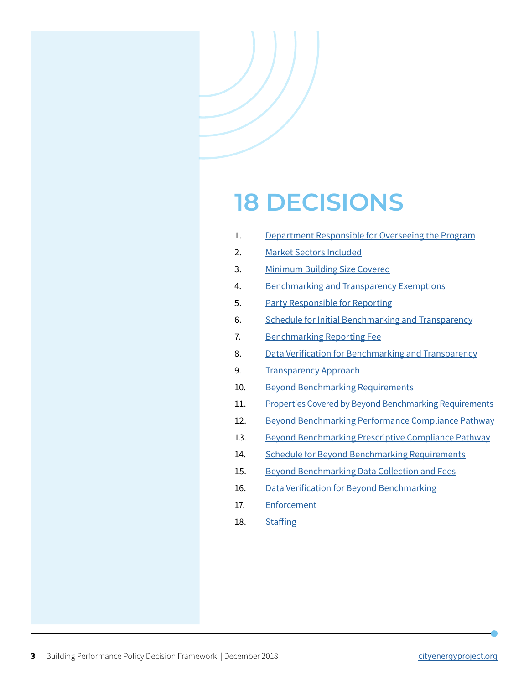# **18 DECISIONS**

- 1. Department Responsible for Overseeing the Program
- 2. [Market Sectors Included](#page-4-0)
- 3. [Minimum Building Size Covered](#page-5-0)
- 4. [Benchmarking and Transparency Exemptions](#page-6-0)
- 5. [Party Responsible for Reporting](#page-7-0)
- 6. [Schedule for Initial Benchmarking and Transparency](#page-8-0)
- 7. [Benchmarking Reporting Fee](#page-9-0)
- 8. [Data Verification for Benchmarking and Transparency](#page-10-0)
- 9. [Transparency Approach](#page-11-0)
- 10. [Beyond Benchmarking Requirements](#page-12-0)
- 11. [Properties Covered by Beyond Benchmarking Requirements](#page-13-0)
- 12. [Beyond Benchmarking Performance Compliance Pathway](#page-14-0)
- 13. [Beyond Benchmarking Prescriptive Compliance Pathway](#page-15-0)
- 14. [Schedule for Beyond Benchmarking Requirements](#page-16-0)
- 15. [Beyond Benchmarking Data Collection and Fees](#page-17-0)
- 16. [Data Verification for Beyond Benchmarking](#page-18-0)
- 17. [Enforcement](#page-19-0)
- 18. [Staffing](#page-20-0)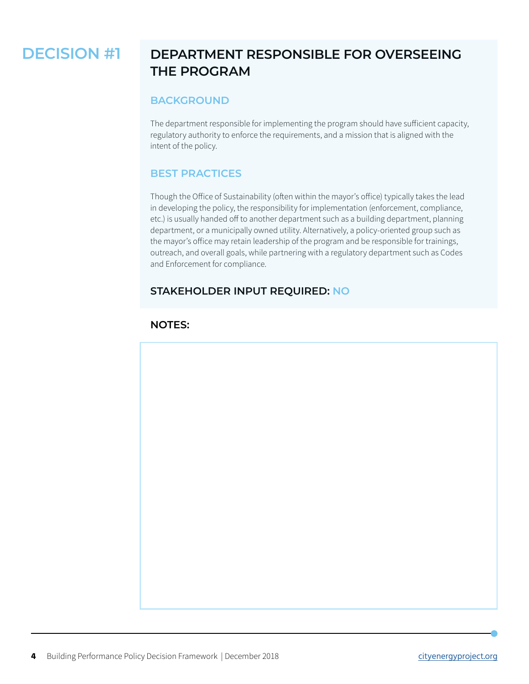# **DECISION #1 DEPARTMENT RESPONSIBLE FOR OVERSEEING THE PROGRAM**

#### **BACKGROUND**

The department responsible for implementing the program should have sufficient capacity, regulatory authority to enforce the requirements, and a mission that is aligned with the intent of the policy.

#### **BEST PRACTICES**

Though the Office of Sustainability (often within the mayor's office) typically takes the lead in developing the policy, the responsibility for implementation (enforcement, compliance, etc.) is usually handed off to another department such as a building department, planning department, or a municipally owned utility. Alternatively, a policy-oriented group such as the mayor's office may retain leadership of the program and be responsible for trainings, outreach, and overall goals, while partnering with a regulatory department such as Codes and Enforcement for compliance.

#### **STAKEHOLDER INPUT REQUIRED: NO**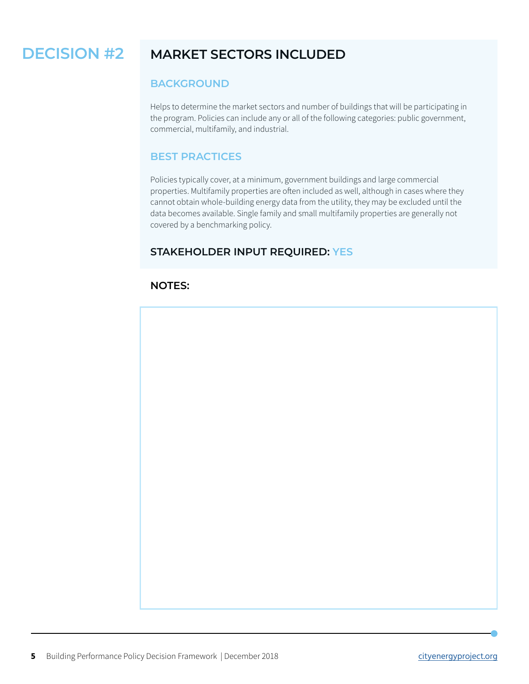#### <span id="page-4-0"></span>**MARKET SECTORS INCLUDED DECISION #2**

#### **BACKGROUND**

Helps to determine the market sectors and number of buildings that will be participating in the program. Policies can include any or all of the following categories: public government, commercial, multifamily, and industrial.

#### **BEST PRACTICES**

Policies typically cover, at a minimum, government buildings and large commercial properties. Multifamily properties are often included as well, although in cases where they cannot obtain whole-building energy data from the utility, they may be excluded until the data becomes available. Single family and small multifamily properties are generally not covered by a benchmarking policy.

#### **STAKEHOLDER INPUT REQUIRED: YES**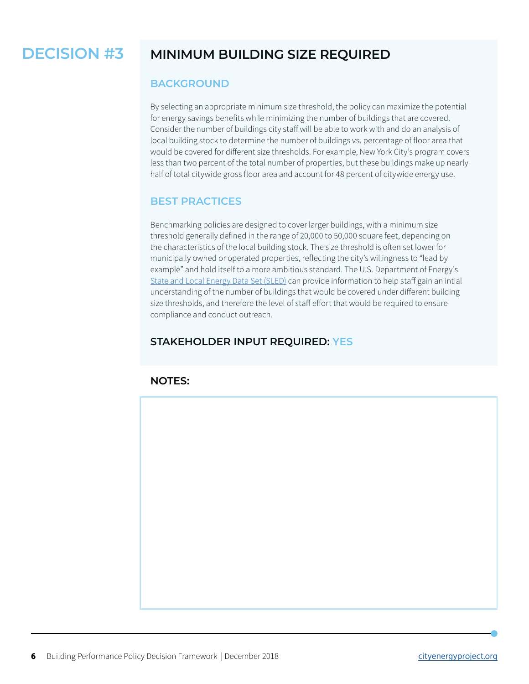#### <span id="page-5-0"></span>**MINIMUM BUILDING SIZE REQUIRED DECISION #3**

#### **BACKGROUND**

By selecting an appropriate minimum size threshold, the policy can maximize the potential for energy savings benefits while minimizing the number of buildings that are covered. Consider the number of buildings city staff will be able to work with and do an analysis of local building stock to determine the number of buildings vs. percentage of floor area that would be covered for different size thresholds. For example, New York City's program covers less than two percent of the total number of properties, but these buildings make up nearly half of total citywide gross floor area and account for 48 percent of citywide energy use.

#### **BEST PRACTICES**

Benchmarking policies are designed to cover larger buildings, with a minimum size threshold generally defined in the range of 20,000 to 50,000 square feet, depending on the characteristics of the local building stock. The size threshold is often set lower for municipally owned or operated properties, reflecting the city's willingness to "lead by example" and hold itself to a more ambitious standard. The U.S. Department of Energy's [State and Local Energy Data Set \(SLED\)](https://apps1.eere.energy.gov/sled/) can provide information to help staff gain an intial understanding of the number of buildings that would be covered under different building size thresholds, and therefore the level of staff effort that would be required to ensure compliance and conduct outreach.

### **STAKEHOLDER INPUT REQUIRED: YES**

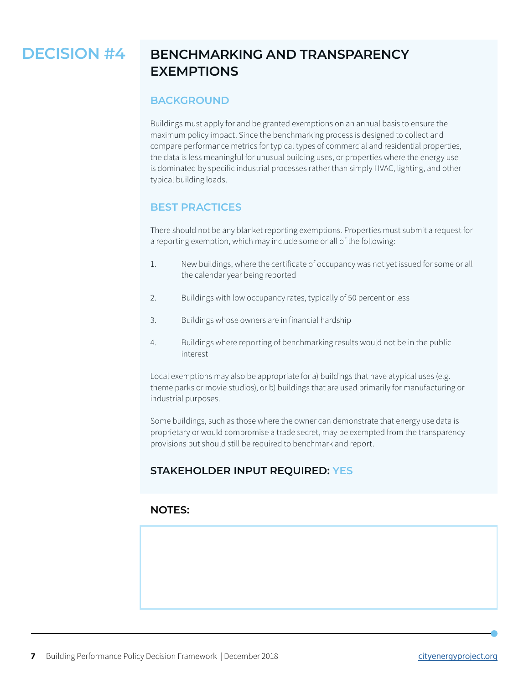# <span id="page-6-0"></span>**DECISION #4**

# **BENCHMARKING AND TRANSPARENCY EXEMPTIONS**

#### **BACKGROUND**

Buildings must apply for and be granted exemptions on an annual basis to ensure the maximum policy impact. Since the benchmarking process is designed to collect and compare performance metrics for typical types of commercial and residential properties, the data is less meaningful for unusual building uses, or properties where the energy use is dominated by specific industrial processes rather than simply HVAC, lighting, and other typical building loads.

#### **BEST PRACTICES**

There should not be any blanket reporting exemptions. Properties must submit a request for a reporting exemption, which may include some or all of the following:

- 1. New buildings, where the certificate of occupancy was not yet issued for some or all the calendar year being reported
- 2. Buildings with low occupancy rates, typically of 50 percent or less
- 3. Buildings whose owners are in financial hardship
- 4. Buildings where reporting of benchmarking results would not be in the public interest

Local exemptions may also be appropriate for a) buildings that have atypical uses (e.g. theme parks or movie studios), or b) buildings that are used primarily for manufacturing or industrial purposes.

Some buildings, such as those where the owner can demonstrate that energy use data is proprietary or would compromise a trade secret, may be exempted from the transparency provisions but should still be required to benchmark and report.

#### **STAKEHOLDER INPUT REQUIRED: YES**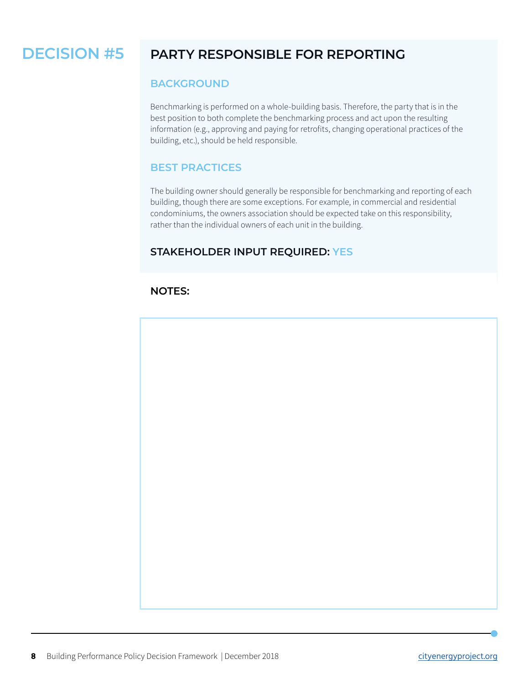#### <span id="page-7-0"></span>**PARTY RESPONSIBLE FOR REPORTING DECISION #5**

#### **BACKGROUND**

Benchmarking is performed on a whole-building basis. Therefore, the party that is in the best position to both complete the benchmarking process and act upon the resulting information (e.g., approving and paying for retrofits, changing operational practices of the building, etc.), should be held responsible.

#### **BEST PRACTICES**

The building owner should generally be responsible for benchmarking and reporting of each building, though there are some exceptions. For example, in commercial and residential condominiums, the owners association should be expected take on this responsibility, rather than the individual owners of each unit in the building.

#### **STAKEHOLDER INPUT REQUIRED: YES**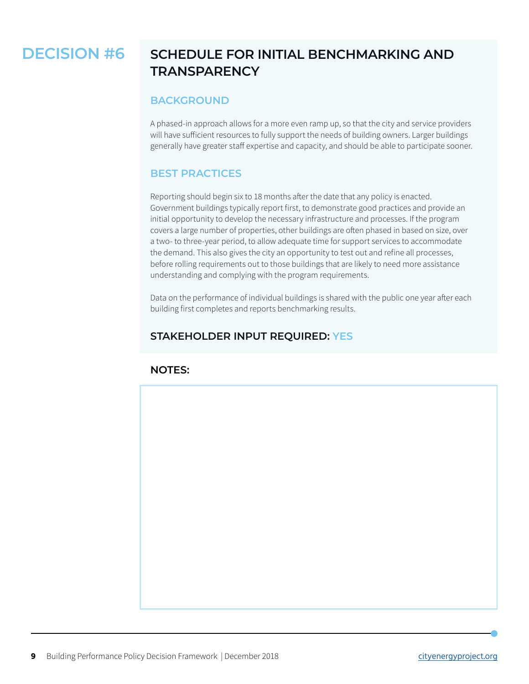# <span id="page-8-0"></span>**DECISION #6**

# **SCHEDULE FOR INITIAL BENCHMARKING AND TRANSPARENCY**

#### **BACKGROUND**

A phased-in approach allows for a more even ramp up, so that the city and service providers will have sufficient resources to fully support the needs of building owners. Larger buildings generally have greater staff expertise and capacity, and should be able to participate sooner.

#### **BEST PRACTICES**

Reporting should begin six to 18 months after the date that any policy is enacted. Government buildings typically report first, to demonstrate good practices and provide an initial opportunity to develop the necessary infrastructure and processes. If the program covers a large number of properties, other buildings are often phased in based on size, over a two- to three-year period, to allow adequate time for support services to accommodate the demand. This also gives the city an opportunity to test out and refine all processes, before rolling requirements out to those buildings that are likely to need more assistance understanding and complying with the program requirements.

Data on the performance of individual buildings is shared with the public one year after each building first completes and reports benchmarking results.

#### **STAKEHOLDER INPUT REQUIRED: YES**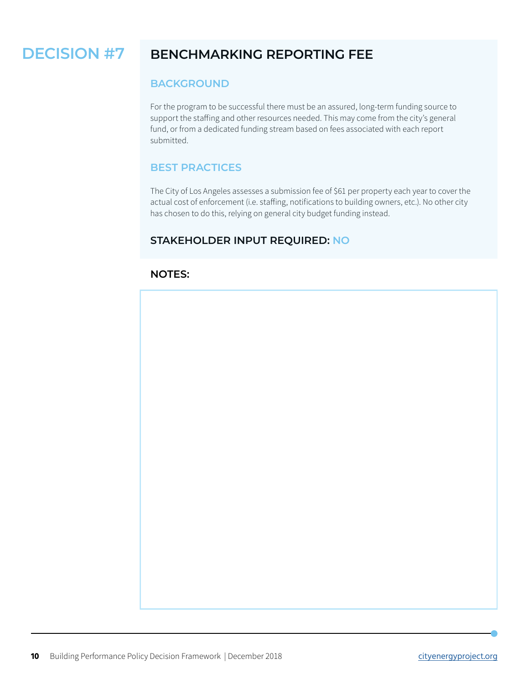#### <span id="page-9-0"></span>**BENCHMARKING REPORTING FEE DECISION #7**

#### **BACKGROUND**

For the program to be successful there must be an assured, long-term funding source to support the staffing and other resources needed. This may come from the city's general fund, or from a dedicated funding stream based on fees associated with each report submitted.

#### **BEST PRACTICES**

The City of Los Angeles assesses a submission fee of \$61 per property each year to cover the actual cost of enforcement (i.e. staffing, notifications to building owners, etc.). No other city has chosen to do this, relying on general city budget funding instead.

#### **STAKEHOLDER INPUT REQUIRED: NO**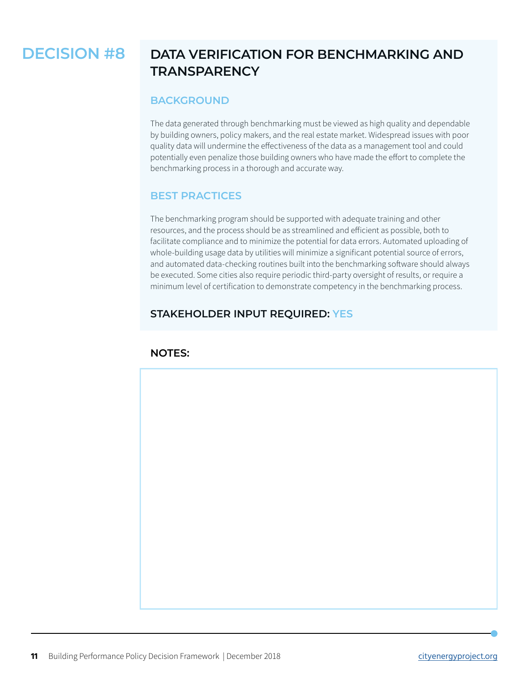# <span id="page-10-0"></span>**DECISION #8**

# **DATA VERIFICATION FOR BENCHMARKING AND TRANSPARENCY**

#### **BACKGROUND**

The data generated through benchmarking must be viewed as high quality and dependable by building owners, policy makers, and the real estate market. Widespread issues with poor quality data will undermine the effectiveness of the data as a management tool and could potentially even penalize those building owners who have made the effort to complete the benchmarking process in a thorough and accurate way.

#### **BEST PRACTICES**

The benchmarking program should be supported with adequate training and other resources, and the process should be as streamlined and efficient as possible, both to facilitate compliance and to minimize the potential for data errors. Automated uploading of whole-building usage data by utilities will minimize a significant potential source of errors, and automated data-checking routines built into the benchmarking software should always be executed. Some cities also require periodic third-party oversight of results, or require a minimum level of certification to demonstrate competency in the benchmarking process.

#### **STAKEHOLDER INPUT REQUIRED: YES**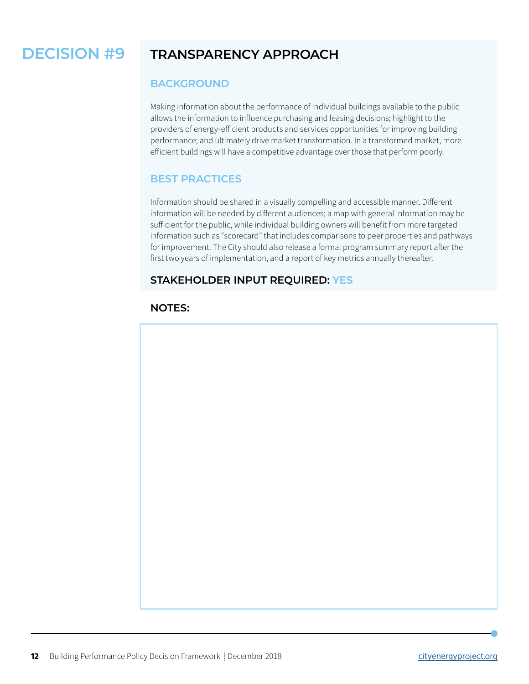#### <span id="page-11-0"></span>**TRANSPARENCY APPROACH DECISION #9**

#### **BACKGROUND**

Making information about the performance of individual buildings available to the public allows the information to influence purchasing and leasing decisions; highlight to the providers of energy-efficient products and services opportunities for improving building performance; and ultimately drive market transformation. In a transformed market, more efficient buildings will have a competitive advantage over those that perform poorly.

#### **BEST PRACTICES**

Information should be shared in a visually compelling and accessible manner. Different information will be needed by different audiences; a map with general information may be sufficient for the public, while individual building owners will benefit from more targeted information such as "scorecard" that includes comparisons to peer properties and pathways for improvement. The City should also release a formal program summary report after the first two years of implementation, and a report of key metrics annually thereafter.

#### **STAKEHOLDER INPUT REQUIRED: YES**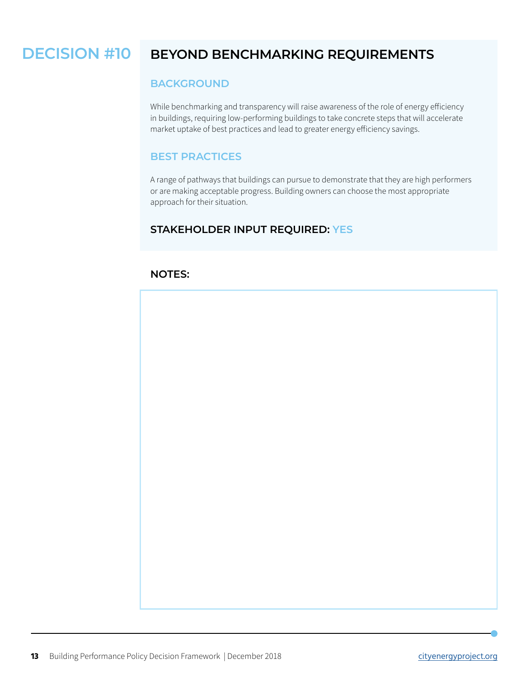#### <span id="page-12-0"></span>**BEYOND BENCHMARKING REQUIREMENTS DECISION #10**

#### **BACKGROUND**

While benchmarking and transparency will raise awareness of the role of energy efficiency in buildings, requiring low-performing buildings to take concrete steps that will accelerate market uptake of best practices and lead to greater energy efficiency savings.

#### **BEST PRACTICES**

A range of pathways that buildings can pursue to demonstrate that they are high performers or are making acceptable progress. Building owners can choose the most appropriate approach for their situation.

#### **STAKEHOLDER INPUT REQUIRED: YES**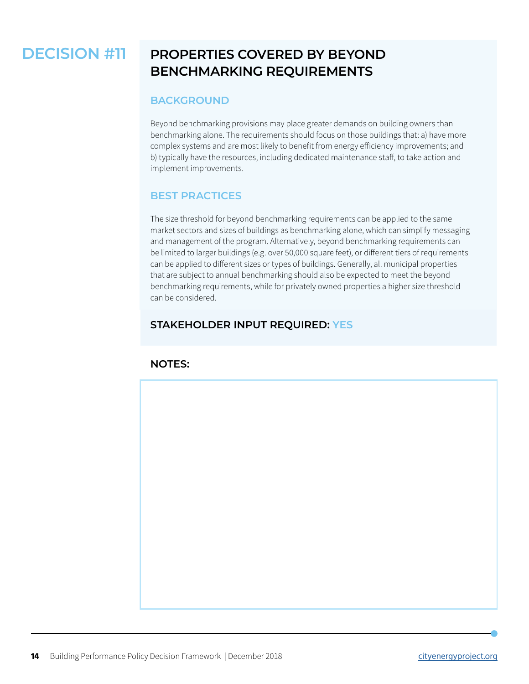#### <span id="page-13-0"></span>**PROPERTIES COVERED BY BEYOND BENCHMARKING REQUIREMENTS DECISION #11**

#### **BACKGROUND**

Beyond benchmarking provisions may place greater demands on building owners than benchmarking alone. The requirements should focus on those buildings that: a) have more complex systems and are most likely to benefit from energy efficiency improvements; and b) typically have the resources, including dedicated maintenance staff, to take action and implement improvements.

#### **BEST PRACTICES**

The size threshold for beyond benchmarking requirements can be applied to the same market sectors and sizes of buildings as benchmarking alone, which can simplify messaging and management of the program. Alternatively, beyond benchmarking requirements can be limited to larger buildings (e.g. over 50,000 square feet), or different tiers of requirements can be applied to different sizes or types of buildings. Generally, all municipal properties that are subject to annual benchmarking should also be expected to meet the beyond benchmarking requirements, while for privately owned properties a higher size threshold can be considered.

#### **STAKEHOLDER INPUT REQUIRED: YES**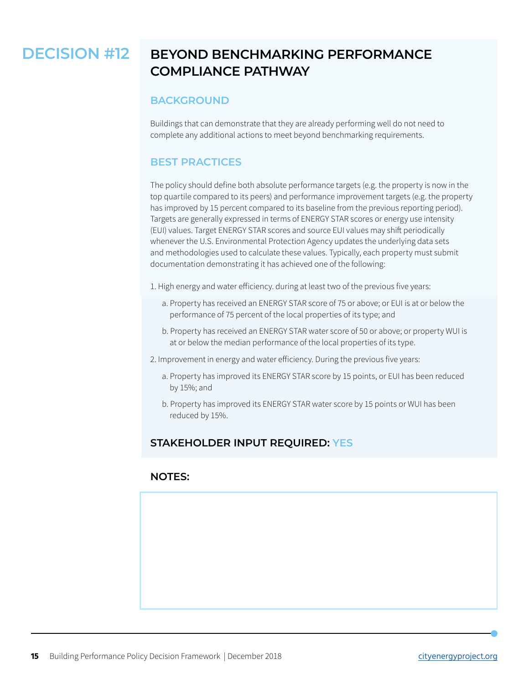#### <span id="page-14-0"></span>**BEYOND BENCHMARKING PERFORMANCE COMPLIANCE PATHWAY DECISION #12**

#### **BACKGROUND**

Buildings that can demonstrate that they are already performing well do not need to complete any additional actions to meet beyond benchmarking requirements.

#### **BEST PRACTICES**

The policy should define both absolute performance targets (e.g. the property is now in the top quartile compared to its peers) and performance improvement targets (e.g. the property has improved by 15 percent compared to its baseline from the previous reporting period). Targets are generally expressed in terms of ENERGY STAR scores or energy use intensity (EUI) values. Target ENERGY STAR scores and source EUI values may shift periodically whenever the U.S. Environmental Protection Agency updates the underlying data sets and methodologies used to calculate these values. Typically, each property must submit documentation demonstrating it has achieved one of the following:

1. High energy and water efficiency. during at least two of the previous five years:

- a. Property has received an ENERGY STAR score of 75 or above; or EUI is at or below the performance of 75 percent of the local properties of its type; and
- b. Property has received an ENERGY STAR water score of 50 or above; or property WUI is at or below the median performance of the local properties of its type.
- 2. Improvement in energy and water efficiency. During the previous five years:
	- a. Property has improved its ENERGY STAR score by 15 points, or EUI has been reduced by 15%; and
	- b. Property has improved its ENERGY STAR water score by 15 points or WUI has been reduced by 15%.

#### **STAKEHOLDER INPUT REQUIRED: YES**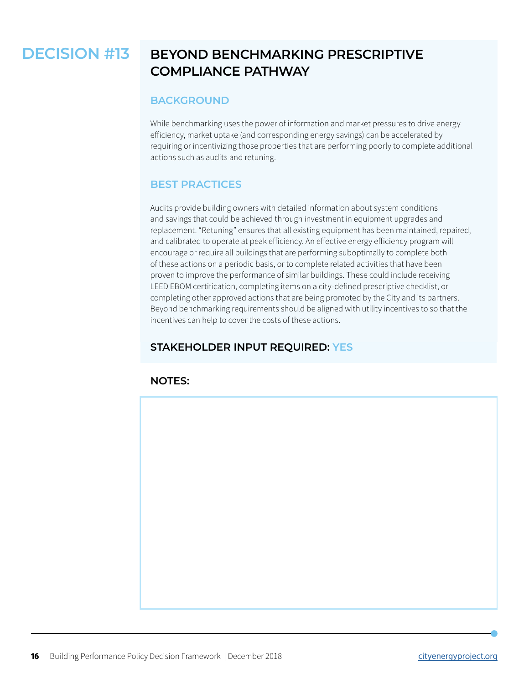#### <span id="page-15-0"></span>**BEYOND BENCHMARKING PRESCRIPTIVE COMPLIANCE PATHWAY DECISION #13**

#### **BACKGROUND**

While benchmarking uses the power of information and market pressures to drive energy efficiency, market uptake (and corresponding energy savings) can be accelerated by requiring or incentivizing those properties that are performing poorly to complete additional actions such as audits and retuning.

#### **BEST PRACTICES**

Audits provide building owners with detailed information about system conditions and savings that could be achieved through investment in equipment upgrades and replacement. "Retuning" ensures that all existing equipment has been maintained, repaired, and calibrated to operate at peak efficiency. An effective energy efficiency program will encourage or require all buildings that are performing suboptimally to complete both of these actions on a periodic basis, or to complete related activities that have been proven to improve the performance of similar buildings. These could include receiving LEED EBOM certification, completing items on a city-defined prescriptive checklist, or completing other approved actions that are being promoted by the City and its partners. Beyond benchmarking requirements should be aligned with utility incentives to so that the incentives can help to cover the costs of these actions.

#### **STAKEHOLDER INPUT REQUIRED: YES**

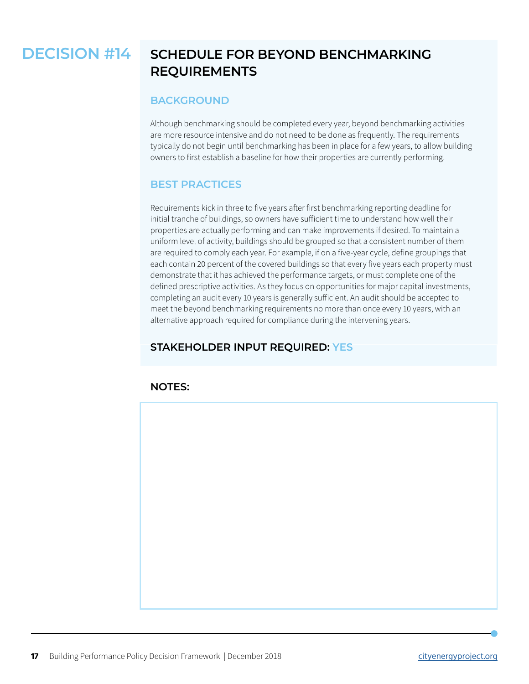#### <span id="page-16-0"></span>**SCHEDULE FOR BEYOND BENCHMARKING REQUIREMENTS DECISION #14**

#### **BACKGROUND**

Although benchmarking should be completed every year, beyond benchmarking activities are more resource intensive and do not need to be done as frequently. The requirements typically do not begin until benchmarking has been in place for a few years, to allow building owners to first establish a baseline for how their properties are currently performing.

#### **BEST PRACTICES**

Requirements kick in three to five years after first benchmarking reporting deadline for initial tranche of buildings, so owners have sufficient time to understand how well their properties are actually performing and can make improvements if desired. To maintain a uniform level of activity, buildings should be grouped so that a consistent number of them are required to comply each year. For example, if on a five-year cycle, define groupings that each contain 20 percent of the covered buildings so that every five years each property must demonstrate that it has achieved the performance targets, or must complete one of the defined prescriptive activities. As they focus on opportunities for major capital investments, completing an audit every 10 years is generally sufficient. An audit should be accepted to meet the beyond benchmarking requirements no more than once every 10 years, with an alternative approach required for compliance during the intervening years.

#### **STAKEHOLDER INPUT REQUIRED: YES**

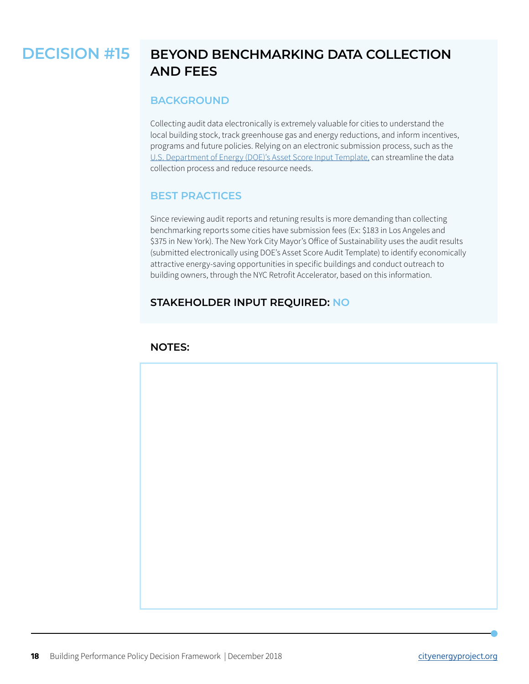#### <span id="page-17-0"></span>**BEYOND BENCHMARKING DATA COLLECTION AND FEES DECISION #15**

#### **BACKGROUND**

Collecting audit data electronically is extremely valuable for cities to understand the local building stock, track greenhouse gas and energy reductions, and inform incentives, programs and future policies. Relying on an electronic submission process, such as the [U.S. Department of Energy \(DOE\)'s Asset Score Input Template,](https://www.energy.gov/eere/buildings/building-energy-asset-score) can streamline the data collection process and reduce resource needs.

#### **BEST PRACTICES**

Since reviewing audit reports and retuning results is more demanding than collecting benchmarking reports some cities have submission fees (Ex: \$183 in Los Angeles and \$375 in New York). The New York City Mayor's Office of Sustainability uses the audit results (submitted electronically using DOE's Asset Score Audit Template) to identify economically attractive energy-saving opportunities in specific buildings and conduct outreach to building owners, through the NYC Retrofit Accelerator, based on this information.

#### **STAKEHOLDER INPUT REQUIRED: NO**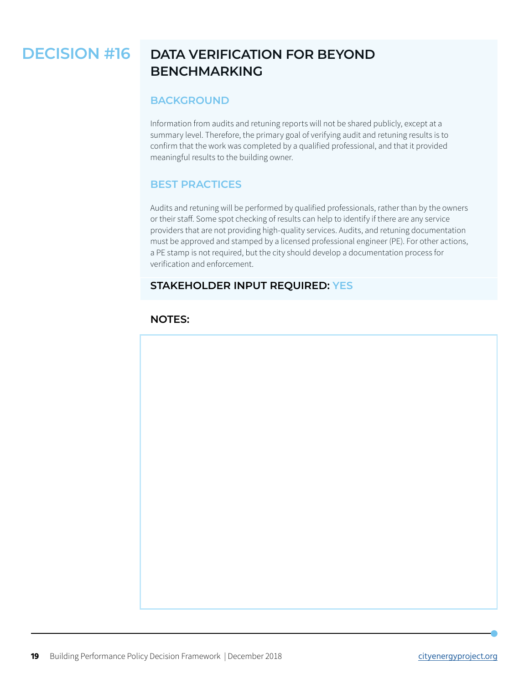#### <span id="page-18-0"></span>**DATA VERIFICATION FOR BEYOND BENCHMARKING DECISION #16**

#### **BACKGROUND**

Information from audits and retuning reports will not be shared publicly, except at a summary level. Therefore, the primary goal of verifying audit and retuning results is to confirm that the work was completed by a qualified professional, and that it provided meaningful results to the building owner.

#### **BEST PRACTICES**

Audits and retuning will be performed by qualified professionals, rather than by the owners or their staff. Some spot checking of results can help to identify if there are any service providers that are not providing high-quality services. Audits, and retuning documentation must be approved and stamped by a licensed professional engineer (PE). For other actions, a PE stamp is not required, but the city should develop a documentation process for verification and enforcement.

#### **STAKEHOLDER INPUT REQUIRED: YES**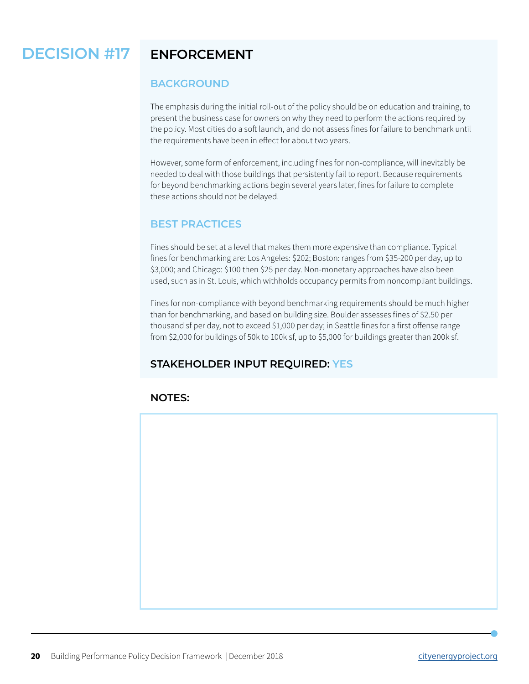#### <span id="page-19-0"></span>**ENFORCEMENT DECISION #17**

#### **BACKGROUND**

The emphasis during the initial roll-out of the policy should be on education and training, to present the business case for owners on why they need to perform the actions required by the policy. Most cities do a soft launch, and do not assess fines for failure to benchmark until the requirements have been in effect for about two years.

However, some form of enforcement, including fines for non-compliance, will inevitably be needed to deal with those buildings that persistently fail to report. Because requirements for beyond benchmarking actions begin several years later, fines for failure to complete these actions should not be delayed.

#### **BEST PRACTICES**

Fines should be set at a level that makes them more expensive than compliance. Typical fines for benchmarking are: Los Angeles: \$202; Boston: ranges from \$35-200 per day, up to \$3,000; and Chicago: \$100 then \$25 per day. Non-monetary approaches have also been used, such as in St. Louis, which withholds occupancy permits from noncompliant buildings.

Fines for non-compliance with beyond benchmarking requirements should be much higher than for benchmarking, and based on building size. Boulder assesses fines of \$2.50 per thousand sf per day, not to exceed \$1,000 per day; in Seattle fines for a first offense range from \$2,000 for buildings of 50k to 100k sf, up to \$5,000 for buildings greater than 200k sf.

#### **STAKEHOLDER INPUT REQUIRED: YES**